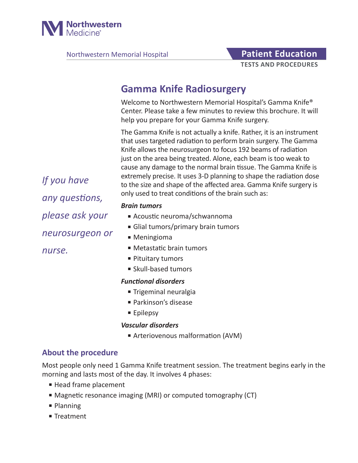

Northwestern Memorial Hospital **Patient Education** 

# **TESTS AND PROCEDURES**

# **Gamma Knife Radiosurgery**

Welcome to Northwestern Memorial Hospital's Gamma Knife® Center. Please take a few minutes to review this brochure. It will help you prepare for your Gamma Knife surgery.

The Gamma Knife is not actually a knife. Rather, it is an instrument that uses targeted radiation to perform brain surgery. The Gamma Knife allows the neurosurgeon to focus 192 beams of radiation just on the area being treated. Alone, each beam is too weak to cause any damage to the normal brain tissue. The Gamma Knife is extremely precise. It uses 3-D planning to shape the radiation dose to the size and shape of the affected area. Gamma Knife surgery is only used to treat conditions of the brain such as:

#### *Brain tumors*

- Acoustic neuroma/schwannoma
- Glial tumors/primary brain tumors
- Meningioma
- Metastatic brain tumors
- Pituitary tumors
- Skull-based tumors

#### *Functional disorders*

- Trigeminal neuralgia
- Parkinson's disease
- Epilepsy

#### *Vascular disorders*

■ Arteriovenous malformation (AVM)

# **About the procedure**

Most people only need 1 Gamma Knife treatment session. The treatment begins early in the morning and lasts most of the day. It involves 4 phases:

- Head frame placement
- Magnetic resonance imaging (MRI) or computed tomography (CT)
- Planning
- Treatment

*If you have any questions, please ask your neurosurgeon or nurse.*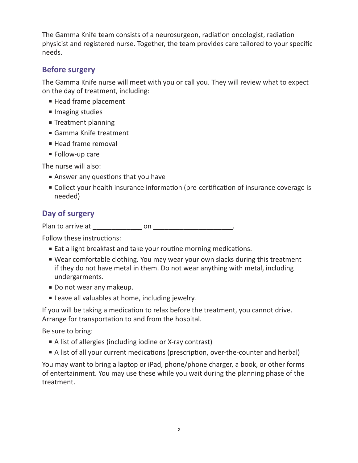The Gamma Knife team consists of a neurosurgeon, radiation oncologist, radiation physicist and registered nurse. Together, the team provides care tailored to your specific needs.

# **Before surgery**

The Gamma Knife nurse will meet with you or call you. They will review what to expect on the day of treatment, including:

- Head frame placement
- Imaging studies
- Treatment planning
- Gamma Knife treatment
- Head frame removal
- Follow-up care

The nurse will also:

- Answer any questions that you have
- Collect your health insurance information (pre-certification of insurance coverage is needed)

# **Day of surgery**

Plan to arrive at \_\_\_\_\_\_\_\_\_\_\_\_\_ on \_\_\_\_\_\_\_\_\_\_\_\_\_\_\_\_\_\_\_\_\_.

Follow these instructions:

- Eat a light breakfast and take your routine morning medications.
- Wear comfortable clothing. You may wear your own slacks during this treatment if they do not have metal in them. Do not wear anything with metal, including undergarments.
- Do not wear any makeup.
- Leave all valuables at home, including jewelry.

If you will be taking a medication to relax before the treatment, you cannot drive. Arrange for transportation to and from the hospital.

Be sure to bring:

- A list of allergies (including iodine or X-ray contrast)
- A list of all your current medications (prescription, over-the-counter and herbal)

You may want to bring a laptop or iPad, phone/phone charger, a book, or other forms of entertainment. You may use these while you wait during the planning phase of the treatment.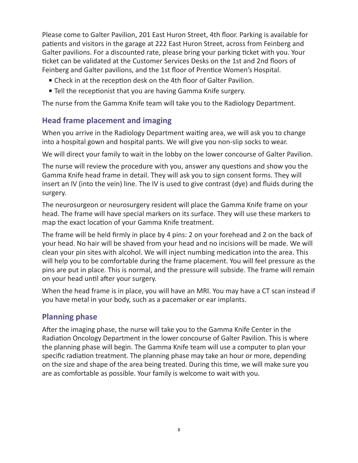Please come to Galter Pavilion, 201 East Huron Street, 4th floor. Parking is available for patients and visitors in the garage at 222 East Huron Street, across from Feinberg and Galter pavilions. For a discounted rate, please bring your parking ticket with you. Your ticket can be validated at the Customer Services Desks on the 1st and 2nd floors of Feinberg and Galter pavilions, and the 1st floor of Prentice Women's Hospital.

- Check in at the reception desk on the 4th floor of Galter Pavilion.
- Tell the receptionist that you are having Gamma Knife surgery.

The nurse from the Gamma Knife team will take you to the Radiology Department.

# **Head frame placement and imaging**

When you arrive in the Radiology Department waiting area, we will ask you to change into a hospital gown and hospital pants. We will give you non-slip socks to wear.

We will direct your family to wait in the lobby on the lower concourse of Galter Pavilion.

The nurse will review the procedure with you, answer any questions and show you the Gamma Knife head frame in detail. They will ask you to sign consent forms. They will insert an IV (into the vein) line. The IV is used to give contrast (dye) and fluids during the surgery.

The neurosurgeon or neurosurgery resident will place the Gamma Knife frame on your head. The frame will have special markers on its surface. They will use these markers to map the exact location of your Gamma Knife treatment.

The frame will be held firmly in place by 4 pins: 2 on your forehead and 2 on the back of your head. No hair will be shaved from your head and no incisions will be made. We will clean your pin sites with alcohol. We will inject numbing medication into the area. This will help you to be comfortable during the frame placement. You will feel pressure as the pins are put in place. This is normal, and the pressure will subside. The frame will remain on your head until after your surgery.

When the head frame is in place, you will have an MRI. You may have a CT scan instead if you have metal in your body, such as a pacemaker or ear implants.

# **Planning phase**

After the imaging phase, the nurse will take you to the Gamma Knife Center in the Radiation Oncology Department in the lower concourse of Galter Pavilion. This is where the planning phase will begin. The Gamma Knife team will use a computer to plan your specific radiation treatment. The planning phase may take an hour or more, depending on the size and shape of the area being treated. During this time, we will make sure you are as comfortable as possible. Your family is welcome to wait with you.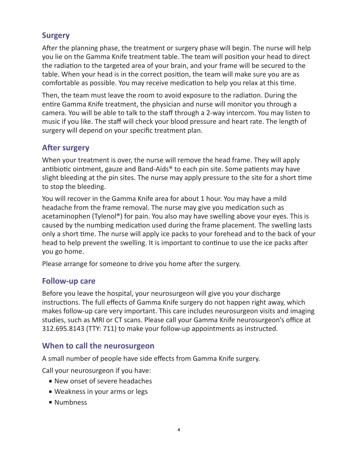# **Surgery**

After the planning phase, the treatment or surgery phase will begin. The nurse will help you lie on the Gamma Knife treatment table. The team will position your head to direct the radiation to the targeted area of your brain, and your frame will be secured to the table. When your head is in the correct position, the team will make sure you are as comfortable as possible. You may receive medication to help you relax at this time.

Then, the team must leave the room to avoid exposure to the radiation. During the entire Gamma Knife treatment, the physician and nurse will monitor you through a camera. You will be able to talk to the staff through a 2-way intercom. You may listen to music if you like. The staff will check your blood pressure and heart rate. The length of surgery will depend on your specific treatment plan.

# **After surgery**

When your treatment is over, the nurse will remove the head frame. They will apply antibiotic ointment, gauze and Band-Aids<sup>®</sup> to each pin site. Some patients may have slight bleeding at the pin sites. The nurse may apply pressure to the site for a short time to stop the bleeding.

You will recover in the Gamma Knife area for about 1 hour. You may have a mild headache from the frame removal. The nurse may give you medication such as acetaminophen (Tylenol®) for pain. You also may have swelling above your eyes. This is caused by the numbing medication used during the frame placement. The swelling lasts only a short time. The nurse will apply ice packs to your forehead and to the back of your head to help prevent the swelling. It is important to continue to use the ice packs after you go home.

Please arrange for someone to drive you home after the surgery.

# **Follow-up care**

Before you leave the hospital, your neurosurgeon will give you your discharge instructions. The full effects of Gamma Knife surgery do not happen right away, which makes follow-up care very important. This care includes neurosurgeon visits and imaging studies, such as MRI or CT scans. Please call your Gamma Knife neurosurgeon's office at 312.695.8143 (TTY: 711) to make your follow-up appointments as instructed.

# **When to call the neurosurgeon**

A small number of people have side effects from Gamma Knife surgery.

Call your neurosurgeon if you have:

- New onset of severe headaches
- Weakness in your arms or legs
- Numbness